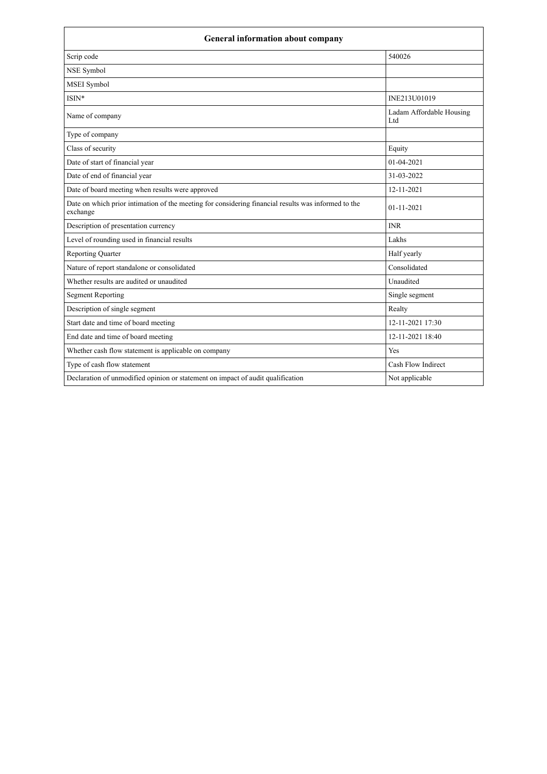| <b>General information about company</b>                                                                        |                                 |  |
|-----------------------------------------------------------------------------------------------------------------|---------------------------------|--|
| Scrip code                                                                                                      | 540026                          |  |
| NSE Symbol                                                                                                      |                                 |  |
| MSEI Symbol                                                                                                     |                                 |  |
| $ISIN*$                                                                                                         | INE213U01019                    |  |
| Name of company                                                                                                 | Ladam Affordable Housing<br>Ltd |  |
| Type of company                                                                                                 |                                 |  |
| Class of security                                                                                               | Equity                          |  |
| Date of start of financial year                                                                                 | $01 - 04 - 2021$                |  |
| Date of end of financial year                                                                                   | 31-03-2022                      |  |
| Date of board meeting when results were approved                                                                | 12-11-2021                      |  |
| Date on which prior intimation of the meeting for considering financial results was informed to the<br>exchange | $01 - 11 - 2021$                |  |
| Description of presentation currency                                                                            | <b>INR</b>                      |  |
| Level of rounding used in financial results                                                                     | Lakhs                           |  |
| <b>Reporting Quarter</b>                                                                                        | Half yearly                     |  |
| Nature of report standalone or consolidated                                                                     | Consolidated                    |  |
| Whether results are audited or unaudited                                                                        | Unaudited                       |  |
| <b>Segment Reporting</b>                                                                                        | Single segment                  |  |
| Description of single segment                                                                                   | Realty                          |  |
| Start date and time of board meeting                                                                            | 12-11-2021 17:30                |  |
| End date and time of board meeting                                                                              | 12-11-2021 18:40                |  |
| Whether cash flow statement is applicable on company                                                            | Yes                             |  |
| Type of cash flow statement                                                                                     | Cash Flow Indirect              |  |
| Declaration of unmodified opinion or statement on impact of audit qualification                                 | Not applicable                  |  |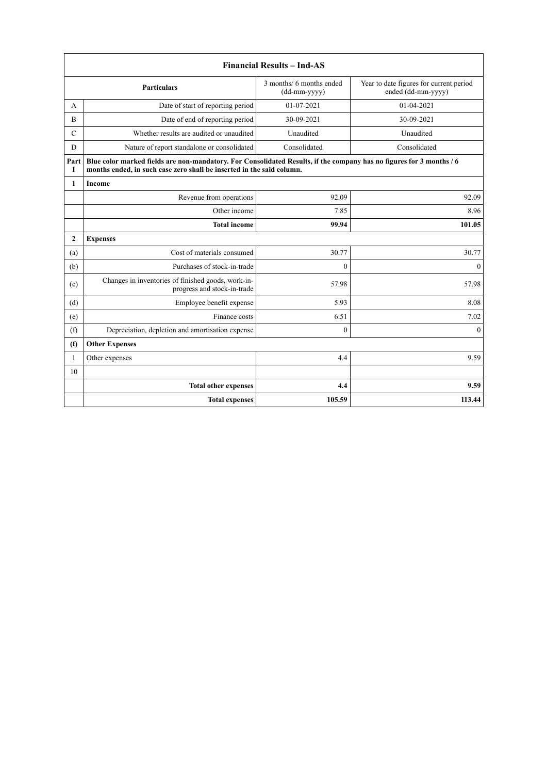| <b>Financial Results - Ind-AS</b> |                                                                                                                                                                                               |                                          |                                                               |
|-----------------------------------|-----------------------------------------------------------------------------------------------------------------------------------------------------------------------------------------------|------------------------------------------|---------------------------------------------------------------|
|                                   | <b>Particulars</b>                                                                                                                                                                            | 3 months/ 6 months ended<br>(dd-mm-yyyy) | Year to date figures for current period<br>ended (dd-mm-yyyy) |
| А                                 | Date of start of reporting period                                                                                                                                                             | 01-07-2021                               | 01-04-2021                                                    |
| $\overline{B}$                    | Date of end of reporting period                                                                                                                                                               | 30-09-2021                               | 30-09-2021                                                    |
| $\mathcal{C}$                     | Whether results are audited or unaudited                                                                                                                                                      | Unaudited                                | Unaudited                                                     |
| D                                 | Nature of report standalone or consolidated                                                                                                                                                   | Consolidated                             | Consolidated                                                  |
| Part<br>Т                         | Blue color marked fields are non-mandatory. For Consolidated Results, if the company has no figures for 3 months / 6<br>months ended, in such case zero shall be inserted in the said column. |                                          |                                                               |
| $\mathbf{1}$                      | Income                                                                                                                                                                                        |                                          |                                                               |
|                                   | Revenue from operations                                                                                                                                                                       | 92.09                                    | 92.09                                                         |
|                                   | Other income                                                                                                                                                                                  | 7.85                                     | 8.96                                                          |
|                                   | <b>Total income</b>                                                                                                                                                                           | 99.94                                    | 101.05                                                        |
| $\mathbf{2}$                      | <b>Expenses</b>                                                                                                                                                                               |                                          |                                                               |
| (a)                               | Cost of materials consumed                                                                                                                                                                    | 30.77                                    | 30.77                                                         |
| (b)                               | Purchases of stock-in-trade                                                                                                                                                                   | $\theta$                                 | $\theta$                                                      |
| (c)                               | Changes in inventories of finished goods, work-in-<br>progress and stock-in-trade                                                                                                             | 57.98                                    | 57.98                                                         |
| (d)                               | Employee benefit expense                                                                                                                                                                      | 5.93                                     | 8.08                                                          |
| (e)                               | Finance costs                                                                                                                                                                                 | 6.51                                     | 7.02                                                          |
| (f)                               | Depreciation, depletion and amortisation expense                                                                                                                                              | $\mathbf{0}$                             | $\boldsymbol{0}$                                              |
| (f)                               | <b>Other Expenses</b>                                                                                                                                                                         |                                          |                                                               |
| $\mathbf{1}$                      | Other expenses                                                                                                                                                                                | 4.4                                      | 9.59                                                          |
| 10                                |                                                                                                                                                                                               |                                          |                                                               |
|                                   | <b>Total other expenses</b>                                                                                                                                                                   | 4.4                                      | 9.59                                                          |
|                                   | <b>Total expenses</b>                                                                                                                                                                         | 105.59                                   | 113.44                                                        |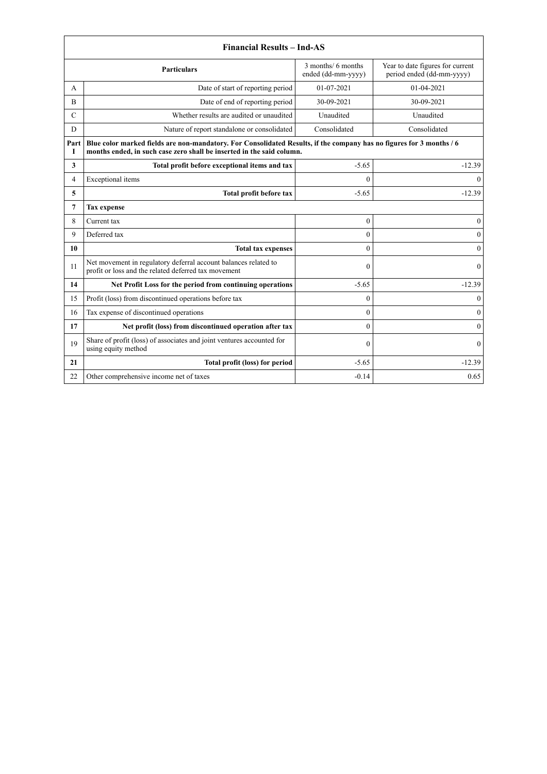|                | <b>Financial Results - Ind-AS</b>                                                                                                                                                             |                                          |                                                               |  |
|----------------|-----------------------------------------------------------------------------------------------------------------------------------------------------------------------------------------------|------------------------------------------|---------------------------------------------------------------|--|
|                | <b>Particulars</b>                                                                                                                                                                            | 3 months/ 6 months<br>ended (dd-mm-yyyy) | Year to date figures for current<br>period ended (dd-mm-yyyy) |  |
| А              | Date of start of reporting period                                                                                                                                                             | 01-07-2021                               | 01-04-2021                                                    |  |
| B              | Date of end of reporting period                                                                                                                                                               | 30-09-2021                               | 30-09-2021                                                    |  |
| C              | Whether results are audited or unaudited                                                                                                                                                      | Unaudited                                | Unaudited                                                     |  |
| D              | Nature of report standalone or consolidated                                                                                                                                                   | Consolidated                             | Consolidated                                                  |  |
| Part<br>I      | Blue color marked fields are non-mandatory. For Consolidated Results, if the company has no figures for 3 months / 6<br>months ended, in such case zero shall be inserted in the said column. |                                          |                                                               |  |
| 3              | Total profit before exceptional items and tax                                                                                                                                                 | $-5.65$                                  | $-12.39$                                                      |  |
| $\overline{4}$ | Exceptional items                                                                                                                                                                             | $\Omega$                                 | $\mathbf{0}$                                                  |  |
| 5              | Total profit before tax                                                                                                                                                                       | $-5.65$                                  | $-12.39$                                                      |  |
| $\overline{7}$ | <b>Tax expense</b>                                                                                                                                                                            |                                          |                                                               |  |
| 8              | Current tax                                                                                                                                                                                   | $\mathbf{0}$                             | $\mathbf{0}$                                                  |  |
| 9              | Deferred tax                                                                                                                                                                                  | $\theta$                                 | $\theta$                                                      |  |
| 10             | <b>Total tax expenses</b>                                                                                                                                                                     | $\theta$                                 | $\mathbf{0}$                                                  |  |
| 11             | Net movement in regulatory deferral account balances related to<br>profit or loss and the related deferred tax movement                                                                       | $\theta$                                 | $\Omega$                                                      |  |
| 14             | Net Profit Loss for the period from continuing operations                                                                                                                                     | $-5.65$                                  | $-12.39$                                                      |  |
| 15             | Profit (loss) from discontinued operations before tax                                                                                                                                         | $\theta$                                 | $\mathbf{0}$                                                  |  |
| 16             | Tax expense of discontinued operations                                                                                                                                                        | $\mathbf{0}$                             | $\boldsymbol{0}$                                              |  |
| 17             | Net profit (loss) from discontinued operation after tax                                                                                                                                       | $\mathbf{0}$                             | $\boldsymbol{0}$                                              |  |
| 19             | Share of profit (loss) of associates and joint ventures accounted for<br>using equity method                                                                                                  | $\theta$                                 | $\theta$                                                      |  |
| 21             | Total profit (loss) for period                                                                                                                                                                | $-5.65$                                  | $-12.39$                                                      |  |
| 22             | Other comprehensive income net of taxes                                                                                                                                                       | $-0.14$                                  | 0.65                                                          |  |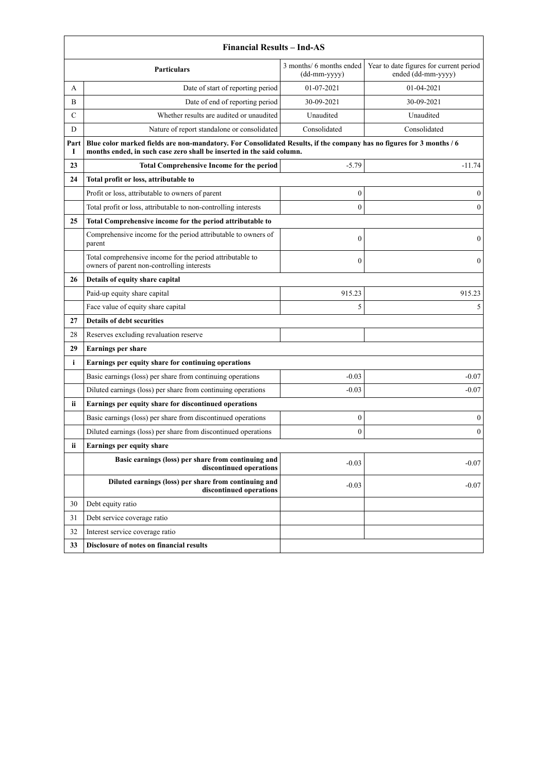|                                                                                                                                   | <b>Financial Results - Ind-AS</b>                                                                                                                                                             |                  |                  |  |
|-----------------------------------------------------------------------------------------------------------------------------------|-----------------------------------------------------------------------------------------------------------------------------------------------------------------------------------------------|------------------|------------------|--|
| Year to date figures for current period<br>3 months/ 6 months ended<br><b>Particulars</b><br>ended (dd-mm-yyyy)<br>$(dd-mm-yyyy)$ |                                                                                                                                                                                               |                  |                  |  |
| A                                                                                                                                 | Date of start of reporting period                                                                                                                                                             | 01-07-2021       | 01-04-2021       |  |
| B                                                                                                                                 | Date of end of reporting period                                                                                                                                                               | 30-09-2021       | 30-09-2021       |  |
| $\mathcal{C}$                                                                                                                     | Whether results are audited or unaudited                                                                                                                                                      | Unaudited        | Unaudited        |  |
| D                                                                                                                                 | Nature of report standalone or consolidated                                                                                                                                                   | Consolidated     | Consolidated     |  |
| Part<br>1                                                                                                                         | Blue color marked fields are non-mandatory. For Consolidated Results, if the company has no figures for 3 months / 6<br>months ended, in such case zero shall be inserted in the said column. |                  |                  |  |
| 23                                                                                                                                | <b>Total Comprehensive Income for the period</b>                                                                                                                                              | $-5.79$          | $-11.74$         |  |
| 24                                                                                                                                | Total profit or loss, attributable to                                                                                                                                                         |                  |                  |  |
|                                                                                                                                   | Profit or loss, attributable to owners of parent                                                                                                                                              | $\boldsymbol{0}$ | $\mathbf{0}$     |  |
|                                                                                                                                   | Total profit or loss, attributable to non-controlling interests                                                                                                                               | $\mathbf{0}$     | $\theta$         |  |
| 25                                                                                                                                | Total Comprehensive income for the period attributable to                                                                                                                                     |                  |                  |  |
|                                                                                                                                   | Comprehensive income for the period attributable to owners of<br>parent                                                                                                                       | $\boldsymbol{0}$ | $\mathbf{0}$     |  |
|                                                                                                                                   | Total comprehensive income for the period attributable to<br>owners of parent non-controlling interests                                                                                       | $\boldsymbol{0}$ | $\mathbf{0}$     |  |
| 26                                                                                                                                | Details of equity share capital                                                                                                                                                               |                  |                  |  |
|                                                                                                                                   | Paid-up equity share capital                                                                                                                                                                  | 915.23           | 915.23           |  |
|                                                                                                                                   | Face value of equity share capital                                                                                                                                                            | 5                | 5                |  |
| 27                                                                                                                                | <b>Details of debt securities</b>                                                                                                                                                             |                  |                  |  |
| 28                                                                                                                                | Reserves excluding revaluation reserve                                                                                                                                                        |                  |                  |  |
| 29                                                                                                                                | <b>Earnings per share</b>                                                                                                                                                                     |                  |                  |  |
| i                                                                                                                                 | Earnings per equity share for continuing operations                                                                                                                                           |                  |                  |  |
|                                                                                                                                   | Basic earnings (loss) per share from continuing operations                                                                                                                                    | $-0.03$          | $-0.07$          |  |
|                                                                                                                                   | Diluted earnings (loss) per share from continuing operations                                                                                                                                  | $-0.03$          | $-0.07$          |  |
| ii                                                                                                                                | Earnings per equity share for discontinued operations                                                                                                                                         |                  |                  |  |
|                                                                                                                                   | Basic earnings (loss) per share from discontinued operations                                                                                                                                  | $\boldsymbol{0}$ | $\boldsymbol{0}$ |  |
|                                                                                                                                   | Diluted earnings (loss) per share from discontinued operations                                                                                                                                | $\mathbf{0}$     | $\mathbf{0}$     |  |
| <b>ii</b>                                                                                                                         | Earnings per equity share                                                                                                                                                                     |                  |                  |  |
|                                                                                                                                   | Basic earnings (loss) per share from continuing and<br>discontinued operations                                                                                                                | $-0.03$          | $-0.07$          |  |
|                                                                                                                                   | Diluted earnings (loss) per share from continuing and<br>discontinued operations                                                                                                              | $-0.03$          | $-0.07$          |  |
| 30                                                                                                                                | Debt equity ratio                                                                                                                                                                             |                  |                  |  |
| 31                                                                                                                                | Debt service coverage ratio                                                                                                                                                                   |                  |                  |  |
| 32                                                                                                                                | Interest service coverage ratio                                                                                                                                                               |                  |                  |  |
| 33                                                                                                                                | Disclosure of notes on financial results                                                                                                                                                      |                  |                  |  |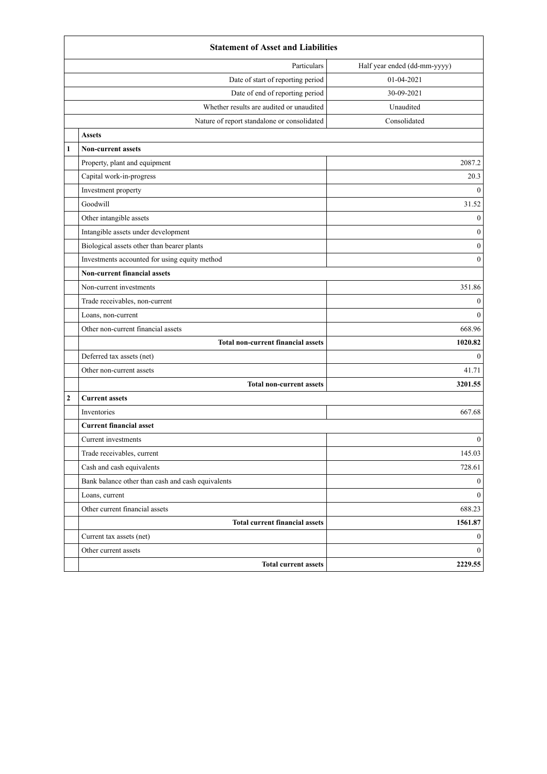|                | <b>Statement of Asset and Liabilities</b>         |                              |  |
|----------------|---------------------------------------------------|------------------------------|--|
|                | Particulars                                       | Half year ended (dd-mm-yyyy) |  |
|                | Date of start of reporting period                 | 01-04-2021                   |  |
|                | Date of end of reporting period                   | 30-09-2021                   |  |
|                | Whether results are audited or unaudited          | Unaudited                    |  |
|                | Nature of report standalone or consolidated       | Consolidated                 |  |
|                | <b>Assets</b>                                     |                              |  |
| $\mathbf{1}$   | <b>Non-current assets</b>                         |                              |  |
|                | Property, plant and equipment                     | 2087.2                       |  |
|                | Capital work-in-progress                          | 20.3                         |  |
|                | Investment property                               | $\mathbf{0}$                 |  |
|                | Goodwill                                          | 31.52                        |  |
|                | Other intangible assets                           | $\mathbf{0}$                 |  |
|                | Intangible assets under development               | $\boldsymbol{0}$             |  |
|                | Biological assets other than bearer plants        | $\boldsymbol{0}$             |  |
|                | Investments accounted for using equity method     | $\mathbf{0}$                 |  |
|                | Non-current financial assets                      |                              |  |
|                | Non-current investments                           | 351.86                       |  |
|                | Trade receivables, non-current                    | $\boldsymbol{0}$             |  |
|                | Loans, non-current                                | $\mathbf{0}$                 |  |
|                | Other non-current financial assets                | 668.96                       |  |
|                | <b>Total non-current financial assets</b>         | 1020.82                      |  |
|                | Deferred tax assets (net)                         | $\mathbf{0}$                 |  |
|                | Other non-current assets                          | 41.71                        |  |
|                | <b>Total non-current assets</b>                   | 3201.55                      |  |
| $\overline{2}$ | <b>Current assets</b>                             |                              |  |
|                | Inventories                                       | 667.68                       |  |
|                | <b>Current financial asset</b>                    |                              |  |
|                | Current investments                               | $\boldsymbol{0}$             |  |
|                | Trade receivables, current                        | 145.03                       |  |
|                | Cash and cash equivalents                         | 728.61                       |  |
|                | Bank balance other than cash and cash equivalents | $\boldsymbol{0}$             |  |
|                | Loans, current                                    | $\overline{0}$               |  |
|                | Other current financial assets                    | 688.23                       |  |
|                | <b>Total current financial assets</b>             | 1561.87                      |  |
|                | Current tax assets (net)                          | $\boldsymbol{0}$             |  |
|                | Other current assets                              | $\mathbf{0}$                 |  |
|                | <b>Total current assets</b>                       | 2229.55                      |  |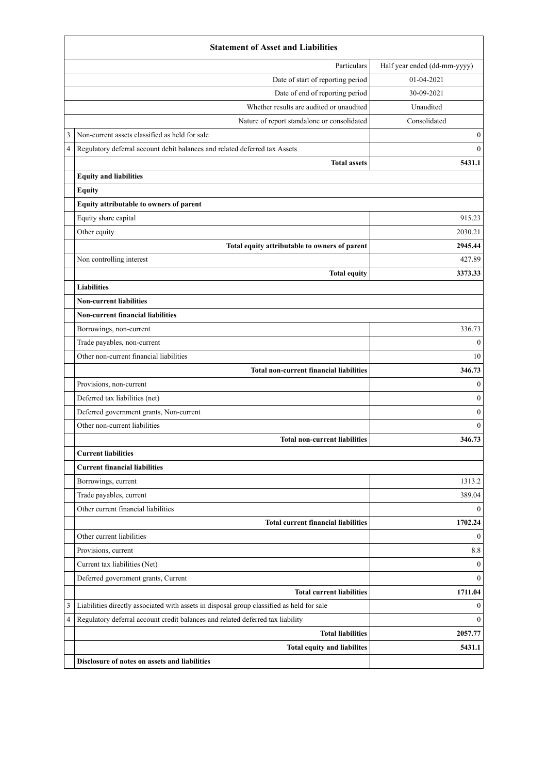|   | <b>Statement of Asset and Liabilities</b>                                                 |                              |  |
|---|-------------------------------------------------------------------------------------------|------------------------------|--|
|   | Particulars                                                                               | Half year ended (dd-mm-yyyy) |  |
|   | Date of start of reporting period                                                         | 01-04-2021                   |  |
|   | Date of end of reporting period                                                           | 30-09-2021                   |  |
|   | Whether results are audited or unaudited                                                  | Unaudited                    |  |
|   | Nature of report standalone or consolidated                                               | Consolidated                 |  |
| 3 | Non-current assets classified as held for sale                                            | $\boldsymbol{0}$             |  |
| 4 | Regulatory deferral account debit balances and related deferred tax Assets                | $\mathbf{0}$                 |  |
|   | <b>Total assets</b>                                                                       | 5431.1                       |  |
|   | <b>Equity and liabilities</b>                                                             |                              |  |
|   | <b>Equity</b>                                                                             |                              |  |
|   | Equity attributable to owners of parent                                                   |                              |  |
|   | Equity share capital                                                                      | 915.23                       |  |
|   | Other equity                                                                              | 2030.21                      |  |
|   | Total equity attributable to owners of parent                                             | 2945.44                      |  |
|   | Non controlling interest                                                                  | 427.89                       |  |
|   | <b>Total equity</b>                                                                       | 3373.33                      |  |
|   | <b>Liabilities</b>                                                                        |                              |  |
|   | <b>Non-current liabilities</b>                                                            |                              |  |
|   | <b>Non-current financial liabilities</b>                                                  |                              |  |
|   | Borrowings, non-current                                                                   | 336.73                       |  |
|   | Trade payables, non-current                                                               | $\mathbf{0}$                 |  |
|   | Other non-current financial liabilities                                                   | 10                           |  |
|   | <b>Total non-current financial liabilities</b>                                            | 346.73                       |  |
|   | Provisions, non-current                                                                   | $\mathbf{0}$                 |  |
|   | Deferred tax liabilities (net)                                                            | $\mathbf{0}$                 |  |
|   | Deferred government grants, Non-current                                                   | $\boldsymbol{0}$             |  |
|   | Other non-current liabilities                                                             | $\theta$                     |  |
|   | <b>Total non-current liabilities</b>                                                      | 346.73                       |  |
|   | <b>Current liabilities</b>                                                                |                              |  |
|   | <b>Current financial liabilities</b>                                                      |                              |  |
|   | Borrowings, current                                                                       | 1313.2                       |  |
|   | Trade payables, current                                                                   | 389.04                       |  |
|   | Other current financial liabilities                                                       | $\theta$                     |  |
|   | <b>Total current financial liabilities</b>                                                | 1702.24                      |  |
|   | Other current liabilities                                                                 | $\theta$                     |  |
|   | Provisions, current                                                                       | 8.8                          |  |
|   | Current tax liabilities (Net)                                                             | $\theta$                     |  |
|   | Deferred government grants, Current                                                       | $\theta$                     |  |
|   | <b>Total current liabilities</b>                                                          | 1711.04                      |  |
| 3 | Liabilities directly associated with assets in disposal group classified as held for sale | $\theta$                     |  |
| 4 | Regulatory deferral account credit balances and related deferred tax liability            | $\theta$                     |  |
|   | <b>Total liabilities</b>                                                                  | 2057.77                      |  |
|   | <b>Total equity and liabilites</b>                                                        | 5431.1                       |  |
|   | Disclosure of notes on assets and liabilities                                             |                              |  |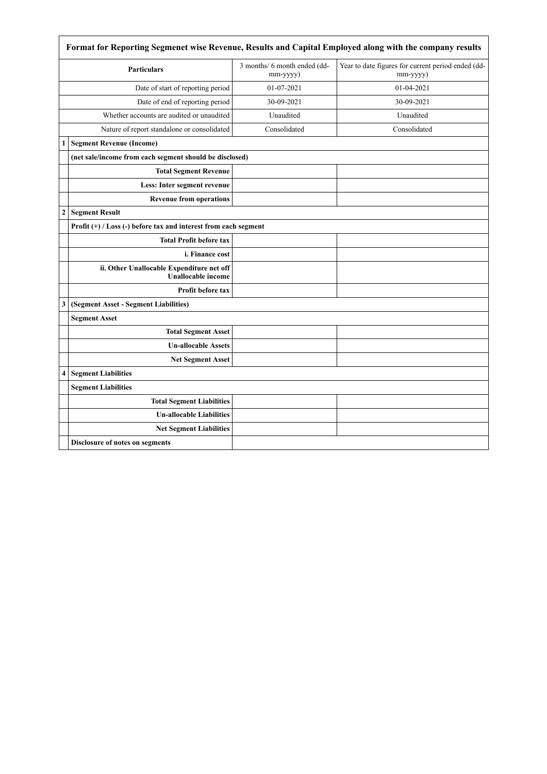|                  | Format for Reporting Segmenet wise Revenue, Results and Capital Employed along with the company results |                                          |                                                                |  |
|------------------|---------------------------------------------------------------------------------------------------------|------------------------------------------|----------------------------------------------------------------|--|
|                  | <b>Particulars</b>                                                                                      | 3 months/ 6 month ended (dd-<br>mm-yyyy) | Year to date figures for current period ended (dd-<br>mm-yyyy) |  |
|                  | Date of start of reporting period                                                                       | 01-07-2021                               | 01-04-2021                                                     |  |
|                  | Date of end of reporting period                                                                         | 30-09-2021                               | 30-09-2021                                                     |  |
|                  | Whether accounts are audited or unaudited                                                               | Unaudited                                | Unaudited                                                      |  |
|                  | Nature of report standalone or consolidated                                                             | Consolidated                             | Consolidated                                                   |  |
| 1                | <b>Segment Revenue (Income)</b>                                                                         |                                          |                                                                |  |
|                  | (net sale/income from each segment should be disclosed)                                                 |                                          |                                                                |  |
|                  | <b>Total Segment Revenue</b>                                                                            |                                          |                                                                |  |
|                  | Less: Inter segment revenue                                                                             |                                          |                                                                |  |
|                  | <b>Revenue from operations</b>                                                                          |                                          |                                                                |  |
| $\boldsymbol{2}$ | <b>Segment Result</b>                                                                                   |                                          |                                                                |  |
|                  | Profit $(+)$ / Loss $(-)$ before tax and interest from each segment                                     |                                          |                                                                |  |
|                  | <b>Total Profit before tax</b>                                                                          |                                          |                                                                |  |
|                  | i. Finance cost                                                                                         |                                          |                                                                |  |
|                  | ii. Other Unallocable Expenditure net off<br><b>Unallocable income</b>                                  |                                          |                                                                |  |
|                  | <b>Profit before tax</b>                                                                                |                                          |                                                                |  |
| 3                | (Segment Asset - Segment Liabilities)                                                                   |                                          |                                                                |  |
|                  | <b>Segment Asset</b>                                                                                    |                                          |                                                                |  |
|                  | <b>Total Segment Asset</b>                                                                              |                                          |                                                                |  |
|                  | <b>Un-allocable Assets</b>                                                                              |                                          |                                                                |  |
|                  | <b>Net Segment Asset</b>                                                                                |                                          |                                                                |  |
| 4                | <b>Segment Liabilities</b>                                                                              |                                          |                                                                |  |
|                  | <b>Segment Liabilities</b>                                                                              |                                          |                                                                |  |
|                  | <b>Total Segment Liabilities</b>                                                                        |                                          |                                                                |  |
|                  | <b>Un-allocable Liabilities</b>                                                                         |                                          |                                                                |  |
|                  | <b>Net Segment Liabilities</b>                                                                          |                                          |                                                                |  |
|                  | Disclosure of notes on segments                                                                         |                                          |                                                                |  |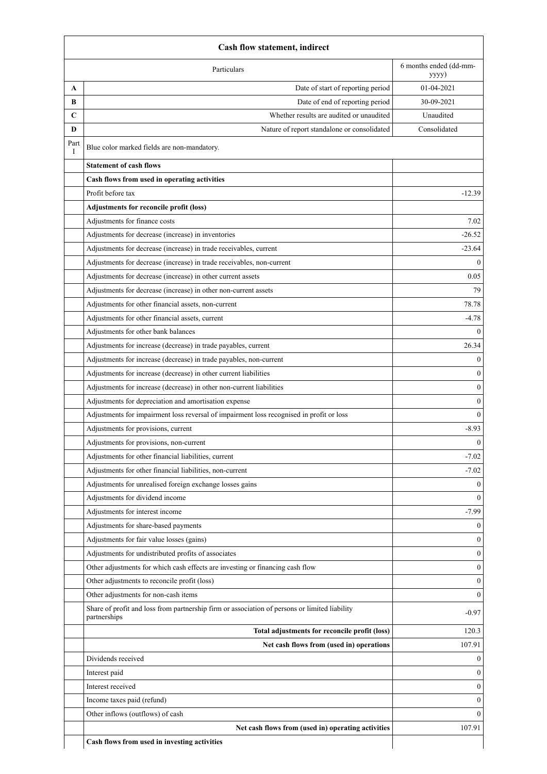| Particulars                                                                                   | 6 months ended (dd-mm-<br>yyyy) |
|-----------------------------------------------------------------------------------------------|---------------------------------|
| Date of start of reporting period<br>A                                                        | 01-04-2021                      |
| Date of end of reporting period<br>B                                                          | 30-09-2021                      |
| Whether results are audited or unaudited<br>$\mathbf C$                                       | Unaudited                       |
| D<br>Nature of report standalone or consolidated                                              | Consolidated                    |
| Part<br>Blue color marked fields are non-mandatory.<br>Ι.                                     |                                 |
| <b>Statement of cash flows</b>                                                                |                                 |
| Cash flows from used in operating activities                                                  |                                 |
| Profit before tax                                                                             | $-12.39$                        |
| Adjustments for reconcile profit (loss)                                                       |                                 |
| Adjustments for finance costs                                                                 | 7.02                            |
| Adjustments for decrease (increase) in inventories                                            | $-26.52$                        |
| Adjustments for decrease (increase) in trade receivables, current                             | $-23.64$                        |
| Adjustments for decrease (increase) in trade receivables, non-current                         | $\theta$                        |
| Adjustments for decrease (increase) in other current assets                                   | 0.05                            |
| Adjustments for decrease (increase) in other non-current assets                               | 79                              |
| Adjustments for other financial assets, non-current                                           | 78.78                           |
| Adjustments for other financial assets, current                                               | $-4.78$                         |
| Adjustments for other bank balances                                                           | $\Omega$                        |
| Adjustments for increase (decrease) in trade payables, current                                | 26.34                           |
| Adjustments for increase (decrease) in trade payables, non-current                            | $\theta$                        |
| Adjustments for increase (decrease) in other current liabilities                              | $\mathbf{0}$                    |
| Adjustments for increase (decrease) in other non-current liabilities                          | $\mathbf{0}$                    |
| Adjustments for depreciation and amortisation expense                                         | $\mathbf{0}$                    |
| Adjustments for impairment loss reversal of impairment loss recognised in profit or loss      | $\theta$                        |
| Adjustments for provisions, current                                                           | $-8.93$                         |
| Adjustments for provisions, non-current                                                       | $\mathbf{0}$                    |
| Adjustments for other financial liabilities, current                                          | $-7.02$                         |
| Adjustments for other financial liabilities, non-current                                      | $-7.02$                         |
| Adjustments for unrealised foreign exchange losses gains                                      | $\theta$                        |
| Adjustments for dividend income                                                               | $\Omega$                        |
| Adjustments for interest income                                                               | $-7.99$                         |
| Adjustments for share-based payments                                                          | $\Omega$                        |
| Adjustments for fair value losses (gains)                                                     | $\mathbf{0}$                    |
| Adjustments for undistributed profits of associates                                           | $\overline{0}$                  |
| Other adjustments for which cash effects are investing or financing cash flow                 | $\mathbf{0}$                    |
| Other adjustments to reconcile profit (loss)                                                  | $\Omega$                        |
| Other adjustments for non-cash items                                                          | $\Omega$                        |
| Share of profit and loss from partnership firm or association of persons or limited liability |                                 |
| partnerships                                                                                  | $-0.97$                         |
| Total adjustments for reconcile profit (loss)                                                 | 120.3                           |
| Net cash flows from (used in) operations                                                      | 107.91                          |
| Dividends received                                                                            | $\mathbf{0}$                    |
| Interest paid                                                                                 | 0                               |
| Interest received                                                                             | 0                               |
| Income taxes paid (refund)                                                                    | 0                               |
| Other inflows (outflows) of cash                                                              | 0                               |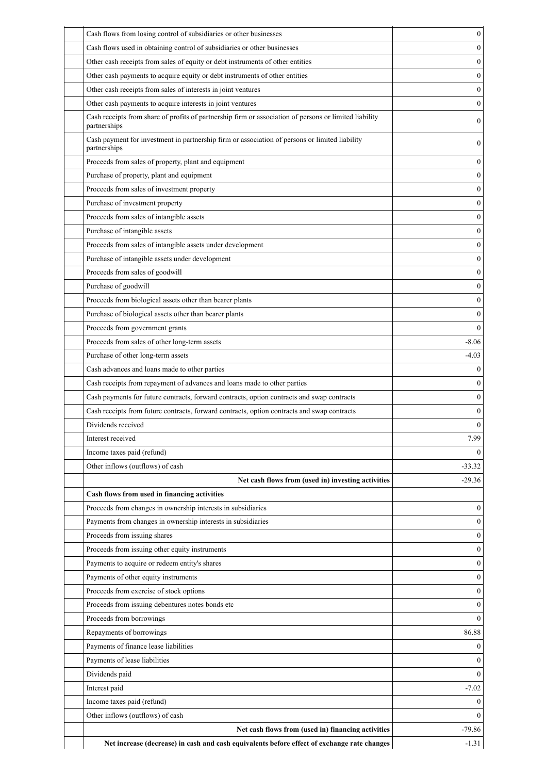| Cash flows from losing control of subsidiaries or other businesses                                                     | $\boldsymbol{0}$ |
|------------------------------------------------------------------------------------------------------------------------|------------------|
| Cash flows used in obtaining control of subsidiaries or other businesses                                               | $\mathbf{0}$     |
| Other cash receipts from sales of equity or debt instruments of other entities                                         | $\boldsymbol{0}$ |
| Other cash payments to acquire equity or debt instruments of other entities                                            | $\boldsymbol{0}$ |
| Other cash receipts from sales of interests in joint ventures                                                          | $\boldsymbol{0}$ |
| Other cash payments to acquire interests in joint ventures                                                             | $\boldsymbol{0}$ |
| Cash receipts from share of profits of partnership firm or association of persons or limited liability<br>partnerships | $\boldsymbol{0}$ |
| Cash payment for investment in partnership firm or association of persons or limited liability<br>partnerships         | $\boldsymbol{0}$ |
| Proceeds from sales of property, plant and equipment                                                                   | $\boldsymbol{0}$ |
| Purchase of property, plant and equipment                                                                              | $\mathbf{0}$     |
| Proceeds from sales of investment property                                                                             | $\boldsymbol{0}$ |
| Purchase of investment property                                                                                        | $\boldsymbol{0}$ |
| Proceeds from sales of intangible assets                                                                               | $\boldsymbol{0}$ |
| Purchase of intangible assets                                                                                          | $\boldsymbol{0}$ |
| Proceeds from sales of intangible assets under development                                                             | $\boldsymbol{0}$ |
| Purchase of intangible assets under development                                                                        | $\boldsymbol{0}$ |
| Proceeds from sales of goodwill                                                                                        | $\boldsymbol{0}$ |
| Purchase of goodwill                                                                                                   | $\boldsymbol{0}$ |
| Proceeds from biological assets other than bearer plants                                                               | $\boldsymbol{0}$ |
| Purchase of biological assets other than bearer plants                                                                 | $\boldsymbol{0}$ |
| Proceeds from government grants                                                                                        | $\mathbf{0}$     |
| Proceeds from sales of other long-term assets                                                                          | $-8.06$          |
| Purchase of other long-term assets                                                                                     | $-4.03$          |
| Cash advances and loans made to other parties                                                                          | $\boldsymbol{0}$ |
| Cash receipts from repayment of advances and loans made to other parties                                               | $\boldsymbol{0}$ |
| Cash payments for future contracts, forward contracts, option contracts and swap contracts                             | $\boldsymbol{0}$ |
| Cash receipts from future contracts, forward contracts, option contracts and swap contracts                            | $\boldsymbol{0}$ |
| Dividends received                                                                                                     | $\boldsymbol{0}$ |
| Interest received                                                                                                      | 7.99             |
| Income taxes paid (refund)                                                                                             | $\boldsymbol{0}$ |
| Other inflows (outflows) of cash                                                                                       | $-33.32$         |
| Net cash flows from (used in) investing activities                                                                     | $-29.36$         |
| Cash flows from used in financing activities                                                                           |                  |
| Proceeds from changes in ownership interests in subsidiaries                                                           | $\boldsymbol{0}$ |
| Payments from changes in ownership interests in subsidiaries                                                           | $\boldsymbol{0}$ |
| Proceeds from issuing shares                                                                                           | $\boldsymbol{0}$ |
| Proceeds from issuing other equity instruments                                                                         | $\boldsymbol{0}$ |
| Payments to acquire or redeem entity's shares                                                                          | $\boldsymbol{0}$ |
| Payments of other equity instruments                                                                                   | $\boldsymbol{0}$ |
| Proceeds from exercise of stock options                                                                                | $\boldsymbol{0}$ |
| Proceeds from issuing debentures notes bonds etc                                                                       | $\boldsymbol{0}$ |
| Proceeds from borrowings                                                                                               | $\boldsymbol{0}$ |
| Repayments of borrowings                                                                                               | 86.88            |
| Payments of finance lease liabilities                                                                                  | 0                |
| Payments of lease liabilities                                                                                          | $\mathbf{0}$     |
| Dividends paid                                                                                                         | $\mathbf{0}$     |
| Interest paid                                                                                                          | $-7.02$          |
| Income taxes paid (refund)                                                                                             | 0                |
| Other inflows (outflows) of cash                                                                                       | $\mathbf{0}$     |
| Net cash flows from (used in) financing activities                                                                     | $-79.86$         |
| Net increase (decrease) in cash and cash equivalents before effect of exchange rate changes                            | $-1.31$          |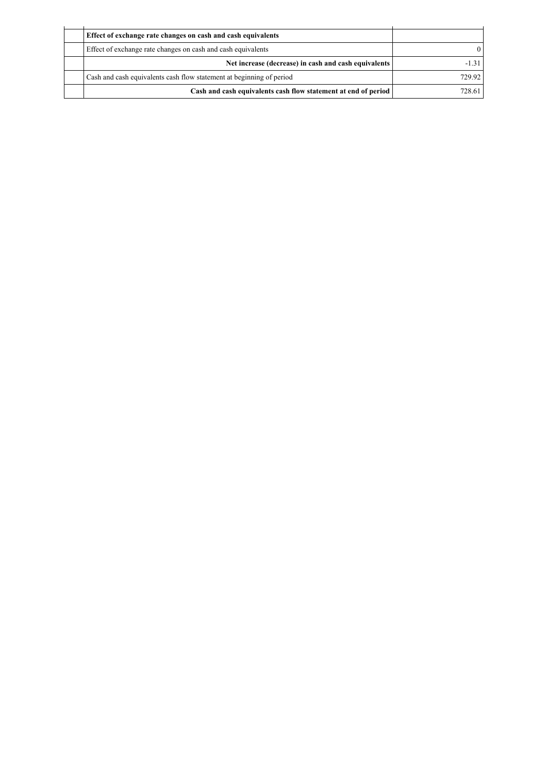| Effect of exchange rate changes on cash and cash equivalents         |        |
|----------------------------------------------------------------------|--------|
| Effect of exchange rate changes on cash and cash equivalents         |        |
| Net increase (decrease) in cash and cash equivalents                 |        |
| Cash and cash equivalents cash flow statement at beginning of period | 729.92 |
| Cash and cash equivalents cash flow statement at end of period       | 728.61 |